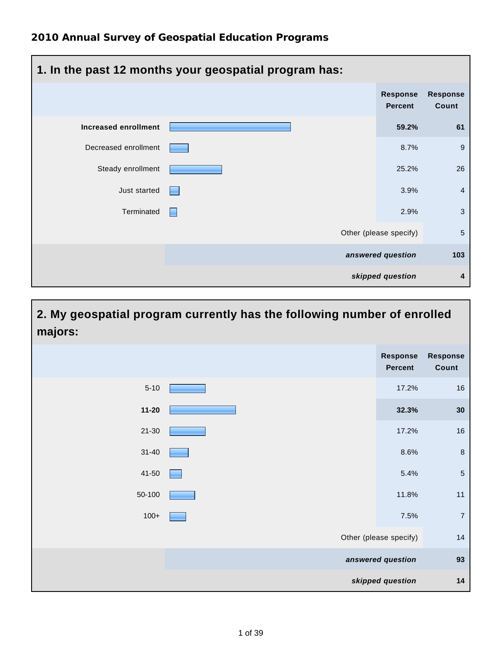| 1. In the past 12 months your geospatial program has: |   |                                   |                          |  |
|-------------------------------------------------------|---|-----------------------------------|--------------------------|--|
|                                                       |   | <b>Response</b><br><b>Percent</b> | <b>Response</b><br>Count |  |
| Increased enrollment                                  |   | 59.2%                             | 61                       |  |
| Decreased enrollment                                  |   | 8.7%                              | 9                        |  |
| Steady enrollment                                     |   | 25.2%                             | 26                       |  |
| Just started                                          | ⊢ | 3.9%                              | 4                        |  |
| Terminated                                            |   | 2.9%                              | $\mathbf{3}$             |  |
|                                                       |   | Other (please specify)            | 5                        |  |
|                                                       |   | answered question                 | 103                      |  |
|                                                       |   | skipped question                  | 4                        |  |

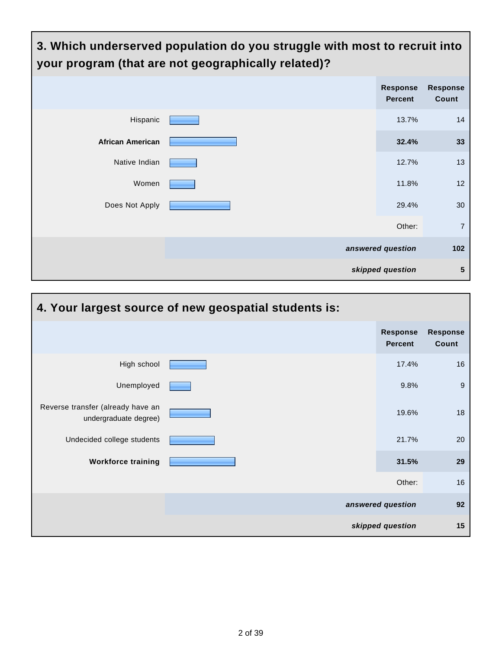| 3. Which underserved population do you struggle with most to recruit into<br>your program (that are not geographically related)? |  |                                   |                          |  |
|----------------------------------------------------------------------------------------------------------------------------------|--|-----------------------------------|--------------------------|--|
|                                                                                                                                  |  | <b>Response</b><br><b>Percent</b> | <b>Response</b><br>Count |  |
| Hispanic                                                                                                                         |  | 13.7%                             | 14                       |  |
| <b>African American</b>                                                                                                          |  | 32.4%                             | 33                       |  |
| Native Indian                                                                                                                    |  | 12.7%                             | 13                       |  |
| Women                                                                                                                            |  | 11.8%                             | 12                       |  |
| Does Not Apply                                                                                                                   |  | 29.4%                             | 30                       |  |
|                                                                                                                                  |  | Other:                            | $\overline{7}$           |  |
|                                                                                                                                  |  | answered question                 | 102                      |  |
|                                                                                                                                  |  | skipped question                  | 5                        |  |

| 4. Your largest source of new geospatial students is:      |  |                                   |                          |  |
|------------------------------------------------------------|--|-----------------------------------|--------------------------|--|
|                                                            |  | <b>Response</b><br><b>Percent</b> | <b>Response</b><br>Count |  |
| High school                                                |  | 17.4%                             | 16                       |  |
| Unemployed                                                 |  | 9.8%                              | 9                        |  |
| Reverse transfer (already have an<br>undergraduate degree) |  | 19.6%                             | 18                       |  |
| Undecided college students                                 |  | 21.7%                             | 20                       |  |
| <b>Workforce training</b>                                  |  | 31.5%                             | 29                       |  |
|                                                            |  | Other:                            | 16                       |  |
|                                                            |  | answered question                 | 92                       |  |
|                                                            |  | skipped question                  | 15                       |  |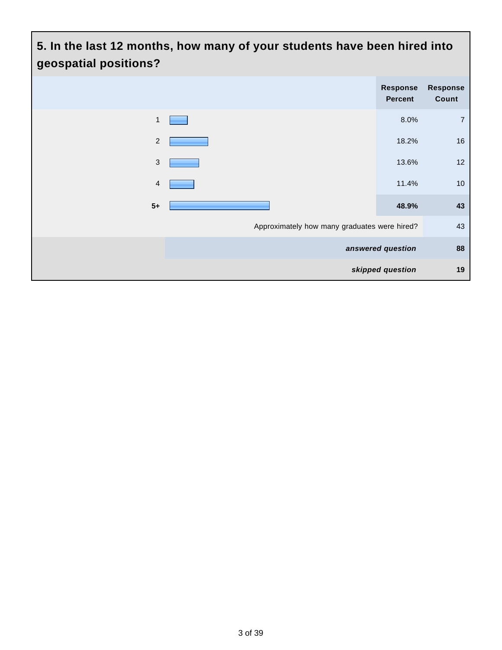### **5. In the last 12 months, how many of your students have been hired into geospatial positions? Response Percent Response Count** 1 8.0% 7 2 **2 18.2%** 16  $3 \t 13.6\t 12$ **4** 11.4% **10 5+ 48.9% 43**

Approximately how many graduates were hired? 43

**answered question 88**

**skipped question 19**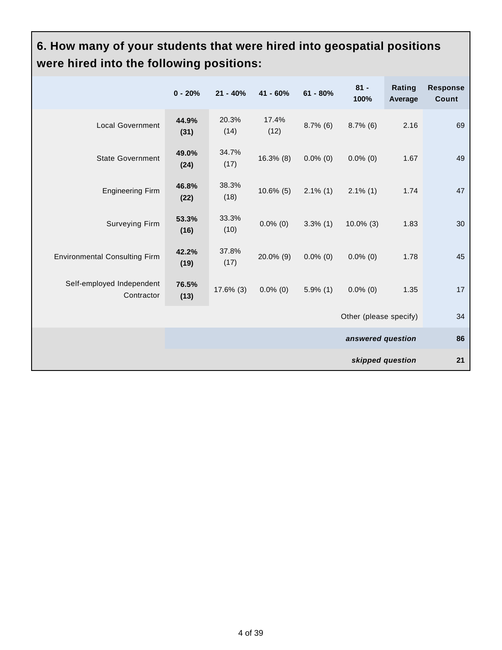## **6. How many of your students that were hired into geospatial positions were hired into the following positions:**

|                                         | $0 - 20%$     | $21 - 40%$    | $41 - 60%$    | $61 - 80%$  | $81 -$<br>100%         | Rating<br>Average | <b>Response</b><br><b>Count</b> |
|-----------------------------------------|---------------|---------------|---------------|-------------|------------------------|-------------------|---------------------------------|
| <b>Local Government</b>                 | 44.9%<br>(31) | 20.3%<br>(14) | 17.4%<br>(12) | $8.7\%$ (6) | $8.7\%$ (6)            | 2.16              | 69                              |
| <b>State Government</b>                 | 49.0%<br>(24) | 34.7%<br>(17) | $16.3\%$ (8)  | $0.0\%$ (0) | $0.0\%$ (0)            | 1.67              | 49                              |
| <b>Engineering Firm</b>                 | 46.8%<br>(22) | 38.3%<br>(18) | $10.6\%$ (5)  | $2.1\%$ (1) | $2.1\%$ (1)            | 1.74              | 47                              |
| <b>Surveying Firm</b>                   | 53.3%<br>(16) | 33.3%<br>(10) | $0.0\%$ (0)   | $3.3\%$ (1) | $10.0\%$ (3)           | 1.83              | 30                              |
| <b>Environmental Consulting Firm</b>    | 42.2%<br>(19) | 37.8%<br>(17) | 20.0% (9)     | $0.0\%$ (0) | $0.0\%$ (0)            | 1.78              | 45                              |
| Self-employed Independent<br>Contractor | 76.5%<br>(13) | $17.6\%$ (3)  | $0.0\%$ (0)   | $5.9\%$ (1) | $0.0\%$ (0)            | 1.35              | 17                              |
|                                         |               |               |               |             | Other (please specify) |                   | 34                              |
|                                         |               |               |               |             | answered question      |                   | 86                              |
|                                         |               |               |               |             | skipped question       |                   | 21                              |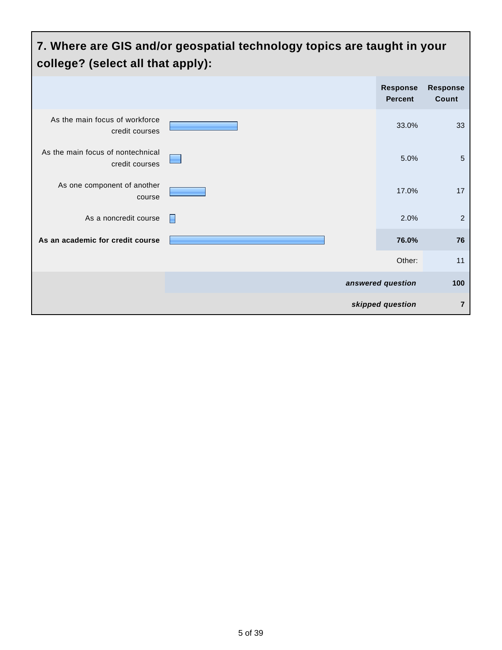#### **7. Where are GIS and/or geospatial technology topics are taught in your college? (select all that apply): Response Percent Response Count** As the main focus of workforce credit courses 33.0% 33 As the main focus of nontechnical credit courses 5.0% 5 As one component of another course 17.0% 17 As a noncredit course 2.0% 2.2 **As an academic for credit course 76.0% 76** Other: 11 **answered question 100 skipped question 7**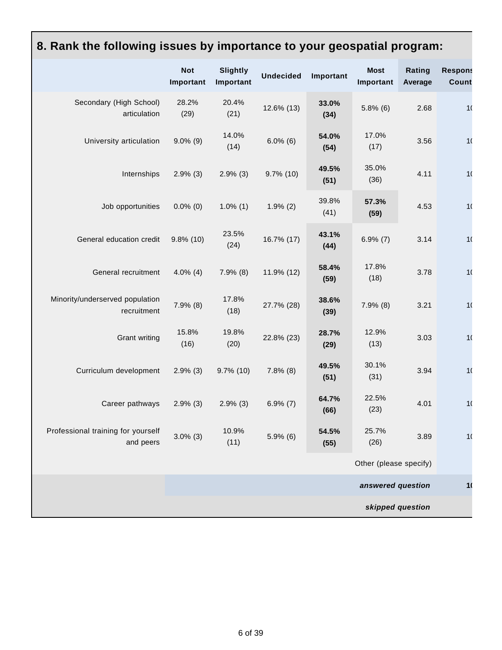#### **Not Important Slightly Important Undecided Important Most Important Rating Average Response Count** Secondary (High School) articulation 28.2% (29) 20.4% (21) 12.6% (13) **33.0% (34)**  $5.8\%$  (6)  $2.68$  10 University articulation 9.0% (9) 14.0% (14) 6.0% (6) **54.0% (54)** 17.0% (17)  $3.56$  10 Internships 2.9% (3) 2.9% (3) 9.7% (10) **49.5% (51)** 35.0% (36) 4.11 10 Job opportunities 0.0% (0) 1.0% (1) 1.9% (2) 39.8% (41) **57.3% (59)** 4.53 10 General education credit 9.8% (10) 23.5% (24) 16.7% (17) **43.1% (44)**  $6.9\% (7)$   $3.14$   $10$ General recruitment 4.0% (4) 7.9% (8) 11.9% (12) **58.4% (59)** 17.8% (18)  $3.78$  10 Minority/underserved population recruitment 7.9% (8) 17.8% (18) 27.7% (28) **38.6% (39)** 7.9% (8) 3.21 10 Grant writing 15.8% (16) 19.8% (20) 22.8% (23) **28.7% (29)** 12.9% (13)  $3.03$  10 Curriculum development 2.9% (3) 9.7% (10) 7.8% (8) **49.5% (51)** 30.1% (31) 3.94 10 Career pathways 2.9% (3) 2.9% (3) 6.9% (7) **64.7% (66)** 22.5% (23) 4.01 10 Professional training for yourself and peers 3.0% (3) 10.9% (11) 5.9% (6) **54.5% (55)** 25.7% (26) 3.89 10 Other (please specify)

**8. Rank the following issues by importance to your geospatial program:**

**answered question 104** 

**skipped question**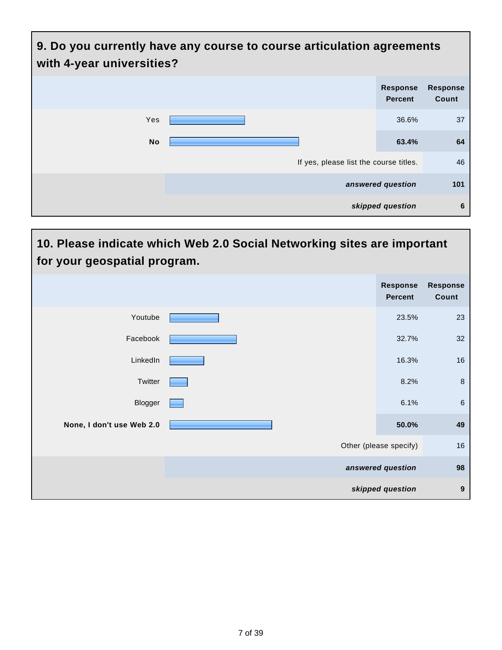| 9. Do you currently have any course to course articulation agreements<br>with 4-year universities? |                                        |                                   |                          |  |
|----------------------------------------------------------------------------------------------------|----------------------------------------|-----------------------------------|--------------------------|--|
|                                                                                                    |                                        | <b>Response</b><br><b>Percent</b> | <b>Response</b><br>Count |  |
| Yes                                                                                                |                                        | 36.6%                             | 37                       |  |
| <b>No</b>                                                                                          |                                        | 63.4%                             | 64                       |  |
|                                                                                                    | If yes, please list the course titles. |                                   | 46                       |  |
|                                                                                                    |                                        | answered question                 | 101                      |  |
|                                                                                                    |                                        | skipped question                  | 6                        |  |

| 10. Please indicate which Web 2.0 Social Networking sites are important<br>for your geospatial program. |  |                                   |                                 |  |
|---------------------------------------------------------------------------------------------------------|--|-----------------------------------|---------------------------------|--|
|                                                                                                         |  | <b>Response</b><br><b>Percent</b> | <b>Response</b><br><b>Count</b> |  |
| Youtube                                                                                                 |  | 23.5%                             | 23                              |  |
| Facebook                                                                                                |  | 32.7%                             | 32                              |  |
| LinkedIn                                                                                                |  | 16.3%                             | 16                              |  |
| Twitter                                                                                                 |  | 8.2%                              | $\bf 8$                         |  |
| Blogger                                                                                                 |  | 6.1%                              | 6                               |  |
| None, I don't use Web 2.0                                                                               |  | 50.0%                             | 49                              |  |
|                                                                                                         |  | Other (please specify)            | 16                              |  |
|                                                                                                         |  | answered question                 | 98                              |  |
|                                                                                                         |  | skipped question                  | $\boldsymbol{9}$                |  |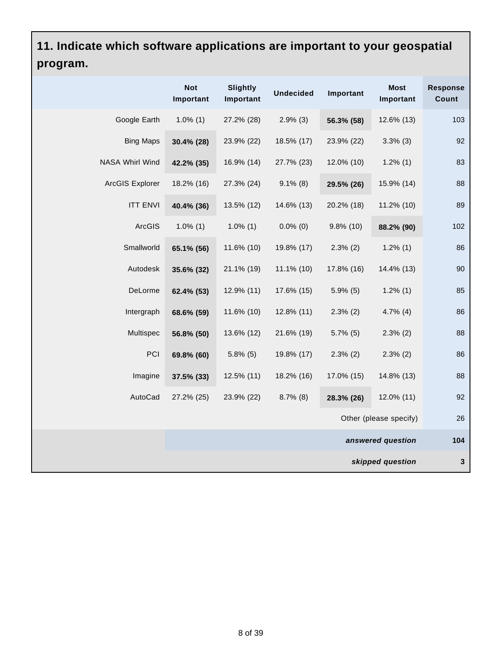# **11. Indicate which software applications are important to your geospatial program.**

|                  | <b>Not</b><br>Important | <b>Slightly</b><br>Important | <b>Undecided</b> | Important    | <b>Most</b><br>Important | <b>Response</b><br>Count |
|------------------|-------------------------|------------------------------|------------------|--------------|--------------------------|--------------------------|
| Google Earth     | $1.0\%$ (1)             | 27.2% (28)                   | $2.9\%$ (3)      | 56.3% (58)   | 12.6% (13)               | 103                      |
| <b>Bing Maps</b> | 30.4% (28)              | 23.9% (22)                   | 18.5% (17)       | 23.9% (22)   | $3.3\%$ (3)              | 92                       |
| NASA Whirl Wind  | 42.2% (35)              | 16.9% (14)                   | 27.7% (23)       | 12.0% (10)   | $1.2\%$ (1)              | 83                       |
| ArcGIS Explorer  | 18.2% (16)              | 27.3% (24)                   | $9.1\%$ (8)      | 29.5% (26)   | 15.9% (14)               | 88                       |
| <b>ITT ENVI</b>  | 40.4% (36)              | 13.5% (12)                   | 14.6% (13)       | 20.2% (18)   | 11.2% (10)               | 89                       |
| ArcGIS           | $1.0\%$ (1)             | $1.0\%$ (1)                  | $0.0\%$ (0)      | $9.8\%$ (10) | 88.2% (90)               | 102                      |
| Smallworld       | 65.1% (56)              | 11.6% (10)                   | 19.8% (17)       | $2.3\%$ (2)  | $1.2\%$ (1)              | 86                       |
| Autodesk         | 35.6% (32)              | 21.1% (19)                   | $11.1\%$ (10)    | 17.8% (16)   | 14.4% (13)               | 90                       |
| DeLorme          | 62.4% (53)              | 12.9% (11)                   | 17.6% (15)       | $5.9\%$ (5)  | $1.2\%$ (1)              | 85                       |
| Intergraph       | 68.6% (59)              | 11.6% (10)                   | 12.8% (11)       | $2.3\%$ (2)  | $4.7\%$ (4)              | 86                       |
| Multispec        | 56.8% (50)              | 13.6% (12)                   | 21.6% (19)       | $5.7\%$ (5)  | $2.3\%$ (2)              | 88                       |
| PCI              | 69.8% (60)              | $5.8\%$ (5)                  | 19.8% (17)       | $2.3\%$ (2)  | $2.3\%$ (2)              | 86                       |
| Imagine          | 37.5% (33)              | 12.5% (11)                   | 18.2% (16)       | 17.0% (15)   | 14.8% (13)               | 88                       |
| AutoCad          | 27.2% (25)              | 23.9% (22)                   | $8.7\%$ (8)      | 28.3% (26)   | 12.0% (11)               | 92                       |
|                  |                         |                              |                  |              | Other (please specify)   | 26                       |
|                  |                         |                              |                  |              | answered question        | 104                      |
|                  |                         |                              |                  |              | skipped question         | $\mathbf 3$              |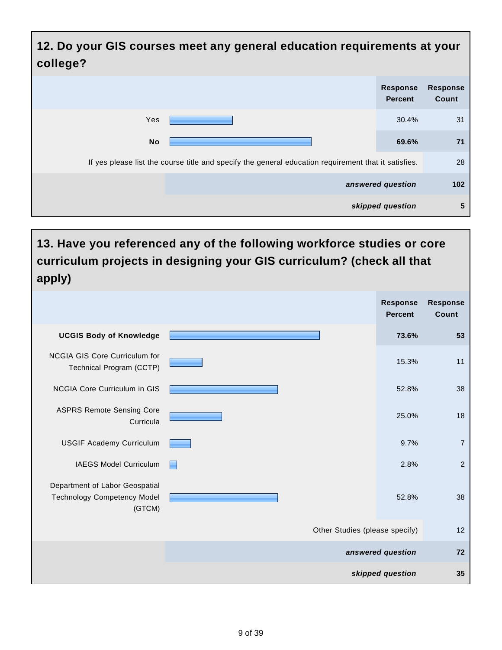| 12. Do your GIS courses meet any general education requirements at your<br>college?                  |                                   |                          |
|------------------------------------------------------------------------------------------------------|-----------------------------------|--------------------------|
|                                                                                                      | <b>Response</b><br><b>Percent</b> | <b>Response</b><br>Count |
| Yes                                                                                                  | 30.4%                             | 31                       |
| <b>No</b>                                                                                            | 69.6%                             | 71                       |
| If yes please list the course title and specify the general education requirement that it satisfies. |                                   | 28                       |
|                                                                                                      | answered question                 | 102                      |
|                                                                                                      | skipped question                  | 5                        |

## **13. Have you referenced any of the following workforce studies or core curriculum projects in designing your GIS curriculum? (check all that apply)**

|                                                                                |                                | <b>Response</b><br><b>Percent</b> | <b>Response</b><br>Count |
|--------------------------------------------------------------------------------|--------------------------------|-----------------------------------|--------------------------|
| <b>UCGIS Body of Knowledge</b>                                                 |                                | 73.6%                             | 53                       |
| <b>NCGIA GIS Core Curriculum for</b><br>Technical Program (CCTP)               |                                | 15.3%                             | 11                       |
| NCGIA Core Curriculum in GIS                                                   |                                | 52.8%                             | 38                       |
| <b>ASPRS Remote Sensing Core</b><br>Curricula                                  |                                | 25.0%                             | 18                       |
| <b>USGIF Academy Curriculum</b>                                                |                                | 9.7%                              | $\overline{7}$           |
| IAEGS Model Curriculum                                                         |                                | 2.8%                              | $\overline{2}$           |
| Department of Labor Geospatial<br><b>Technology Competency Model</b><br>(GTCM) |                                | 52.8%                             | 38                       |
|                                                                                | Other Studies (please specify) |                                   | 12                       |
|                                                                                |                                | answered question                 | 72                       |
|                                                                                |                                | skipped question                  | 35                       |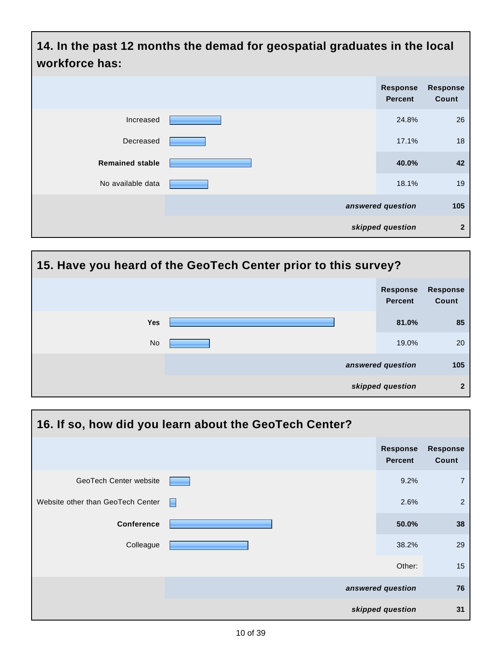| 14. In the past 12 months the demad for geospatial graduates in the local<br>workforce has: |  |                                   |                          |  |
|---------------------------------------------------------------------------------------------|--|-----------------------------------|--------------------------|--|
|                                                                                             |  | <b>Response</b><br><b>Percent</b> | <b>Response</b><br>Count |  |
| Increased                                                                                   |  | 24.8%                             | 26                       |  |
| Decreased                                                                                   |  | 17.1%                             | 18                       |  |
| <b>Remained stable</b>                                                                      |  | 40.0%                             | 42                       |  |
| No available data                                                                           |  | 18.1%                             | 19                       |  |
|                                                                                             |  | answered question                 | 105                      |  |
|                                                                                             |  | skipped question                  | $\mathbf{2}$             |  |



| 16. If so, how did you learn about the GeoTech Center? |   |                                   |                          |  |  |
|--------------------------------------------------------|---|-----------------------------------|--------------------------|--|--|
|                                                        |   | <b>Response</b><br><b>Percent</b> | <b>Response</b><br>Count |  |  |
| GeoTech Center website                                 |   | 9.2%                              | $\overline{7}$           |  |  |
| Website other than GeoTech Center                      | Е | 2.6%                              | $\overline{2}$           |  |  |
| <b>Conference</b>                                      |   | 50.0%                             | 38                       |  |  |
| Colleague                                              |   | 38.2%                             | 29                       |  |  |
|                                                        |   | Other:                            | 15                       |  |  |
|                                                        |   | answered question                 | 76                       |  |  |
|                                                        |   | skipped question                  | 31                       |  |  |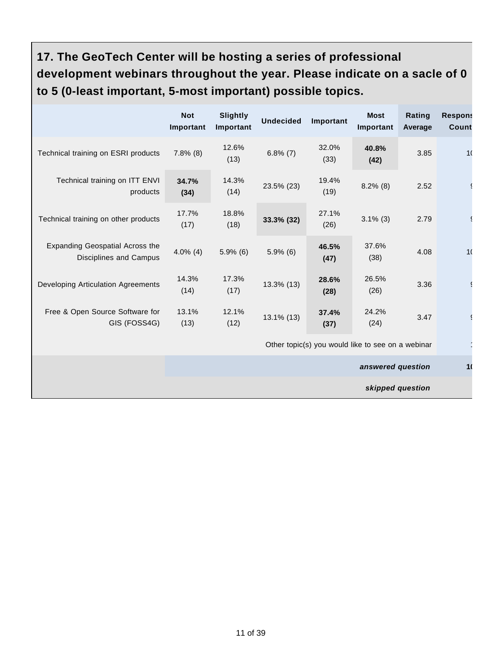# **17. The GeoTech Center will be hosting a series of professional development webinars throughout the year. Please indicate on a sacle of 0 to 5 (0-least important, 5-most important) possible topics.**

|                                                           | <b>Not</b><br>Important                           | <b>Slightly</b><br>Important | <b>Undecided</b> | Important     | <b>Most</b><br>Important | Rating<br>Average | <b>Respons</b><br>Count |
|-----------------------------------------------------------|---------------------------------------------------|------------------------------|------------------|---------------|--------------------------|-------------------|-------------------------|
| Technical training on ESRI products                       | $7.8\%$ (8)                                       | 12.6%<br>(13)                | $6.8\%$ (7)      | 32.0%<br>(33) | 40.8%<br>(42)            | 3.85              | 1 <sub>1</sub>          |
| Technical training on ITT ENVI<br>products                | 34.7%<br>(34)                                     | 14.3%<br>(14)                | 23.5% (23)       | 19.4%<br>(19) | $8.2\%$ (8)              | 2.52              |                         |
| Technical training on other products                      | 17.7%<br>(17)                                     | 18.8%<br>(18)                | 33.3% (32)       | 27.1%<br>(26) | $3.1\%$ (3)              | 2.79              |                         |
| Expanding Geospatial Across the<br>Disciplines and Campus | $4.0\%$ (4)                                       | $5.9\%$ (6)                  | $5.9\%$ (6)      | 46.5%<br>(47) | 37.6%<br>(38)            | 4.08              | 1 <sup>1</sup>          |
| Developing Articulation Agreements                        | 14.3%<br>(14)                                     | 17.3%<br>(17)                | 13.3% (13)       | 28.6%<br>(28) | 26.5%<br>(26)            | 3.36              |                         |
| Free & Open Source Software for<br>GIS (FOSS4G)           | 13.1%<br>(13)                                     | 12.1%<br>(12)                | 13.1% (13)       | 37.4%<br>(37) | 24.2%<br>(24)            | 3.47              |                         |
|                                                           | Other topic(s) you would like to see on a webinar |                              |                  |               |                          |                   |                         |
|                                                           | answered question                                 |                              |                  |               | 1 <sub>1</sub>           |                   |                         |
|                                                           |                                                   |                              |                  |               | skipped question         |                   |                         |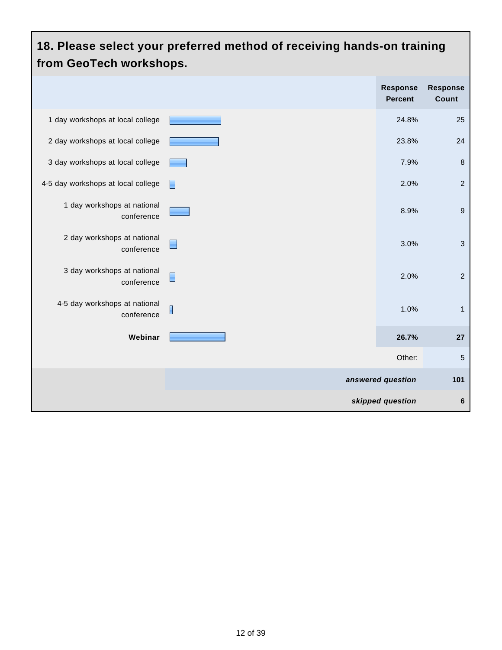#### **18. Please select your preferred method of receiving hands-on training from GeoTech workshops. Response Response Percent Count** 1 day workshops at local college **25** and 25 and 24.8% 25 2 day workshops at local college **23.8%** 24 3 day workshops at local college **7.9%** 8 A-5 day workshops at local college 2.0% 2.0% 1 day workshops at national 8.9% 9 conference 2 day workshops at national  $\Box$ 3.0% 3 conference 3 day workshops at national 2.0% 2 conference 4-5 day workshops at national  $\blacksquare$ 1.0% 1 conference **Webinar 26.7% 27** Other: 5 **answered question 101 skipped question 6**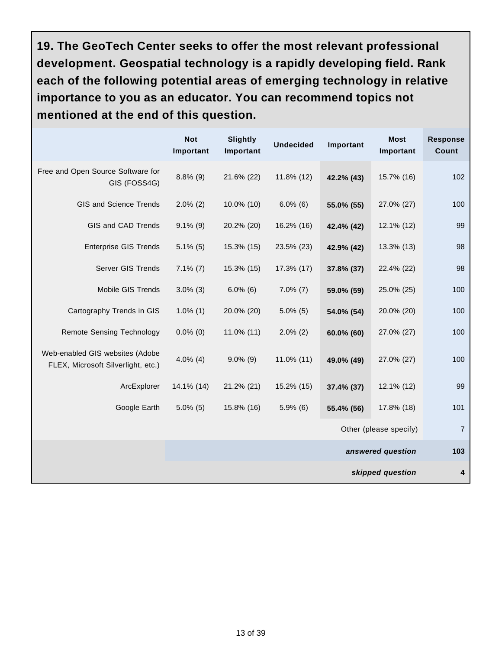**19. The GeoTech Center seeks to offer the most relevant professional development. Geospatial technology is a rapidly developing field. Rank each of the following potential areas of emerging technology in relative importance to you as an educator. You can recommend topics not mentioned at the end of this question.**

|                                                                       | <b>Not</b><br>Important | <b>Slightly</b><br>Important | <b>Undecided</b> | Important  | <b>Most</b><br>Important | <b>Response</b><br>Count |
|-----------------------------------------------------------------------|-------------------------|------------------------------|------------------|------------|--------------------------|--------------------------|
| Free and Open Source Software for<br>GIS (FOSS4G)                     | $8.8\%$ (9)             | 21.6% (22)                   | 11.8% (12)       | 42.2% (43) | 15.7% (16)               | 102                      |
| GIS and Science Trends                                                | $2.0\%$ (2)             | 10.0% (10)                   | $6.0\%$ (6)      | 55.0% (55) | 27.0% (27)               | 100                      |
| GIS and CAD Trends                                                    | $9.1\%$ (9)             | 20.2% (20)                   | 16.2% (16)       | 42.4% (42) | 12.1% (12)               | 99                       |
| <b>Enterprise GIS Trends</b>                                          | $5.1\%$ (5)             | 15.3% (15)                   | 23.5% (23)       | 42.9% (42) | 13.3% (13)               | 98                       |
| Server GIS Trends                                                     | $7.1\%$ (7)             | 15.3% (15)                   | 17.3% (17)       | 37.8% (37) | 22.4% (22)               | 98                       |
| Mobile GIS Trends                                                     | $3.0\%$ (3)             | $6.0\%$ (6)                  | $7.0\%$ (7)      | 59.0% (59) | 25.0% (25)               | 100                      |
| Cartography Trends in GIS                                             | $1.0\%$ (1)             | 20.0% (20)                   | $5.0\%$ (5)      | 54.0% (54) | 20.0% (20)               | 100                      |
| <b>Remote Sensing Technology</b>                                      | $0.0\%$ (0)             | $11.0\%$ (11)                | $2.0\%$ (2)      | 60.0% (60) | 27.0% (27)               | 100                      |
| Web-enabled GIS websites (Adobe<br>FLEX, Microsoft Silverlight, etc.) | $4.0\%$ (4)             | $9.0\%$ (9)                  | 11.0% (11)       | 49.0% (49) | 27.0% (27)               | 100                      |
| ArcExplorer                                                           | 14.1% (14)              | 21.2% (21)                   | 15.2% (15)       | 37.4% (37) | 12.1% (12)               | 99                       |
| Google Earth                                                          | $5.0\%$ (5)             | 15.8% (16)                   | $5.9\%$ (6)      | 55.4% (56) | 17.8% (18)               | 101                      |
|                                                                       |                         |                              |                  |            | Other (please specify)   | $\overline{7}$           |
|                                                                       |                         |                              |                  |            | answered question        | 103                      |
|                                                                       |                         |                              |                  |            | skipped question         | 4                        |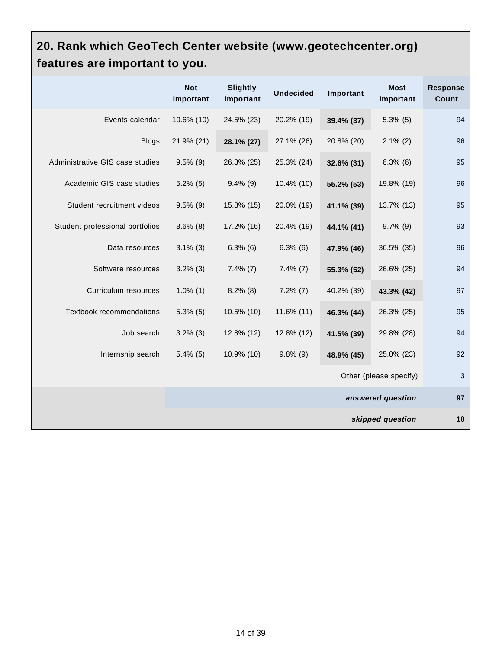## **20. Rank which GeoTech Center website (www.geotechcenter.org) features are important to you.**

|                                 | <b>Not</b><br>Important | <b>Slightly</b><br>Important | <b>Undecided</b> | Important  | <b>Most</b><br>Important | <b>Response</b><br>Count |
|---------------------------------|-------------------------|------------------------------|------------------|------------|--------------------------|--------------------------|
| Events calendar                 | 10.6% (10)              | 24.5% (23)                   | 20.2% (19)       | 39.4% (37) | $5.3\%$ (5)              | 94                       |
| <b>Blogs</b>                    | 21.9% (21)              | 28.1% (27)                   | 27.1% (26)       | 20.8% (20) | $2.1\%$ (2)              | 96                       |
| Administrative GIS case studies | $9.5\%$ (9)             | 26.3% (25)                   | 25.3% (24)       | 32.6% (31) | $6.3\%$ (6)              | 95                       |
| Academic GIS case studies       | $5.2\%$ (5)             | $9.4\%$ (9)                  | 10.4% (10)       | 55.2% (53) | 19.8% (19)               | 96                       |
| Student recruitment videos      | $9.5\%$ (9)             | 15.8% (15)                   | 20.0% (19)       | 41.1% (39) | 13.7% (13)               | 95                       |
| Student professional portfolios | $8.6\%$ (8)             | 17.2% (16)                   | 20.4% (19)       | 44.1% (41) | $9.7\%$ (9)              | 93                       |
| Data resources                  | $3.1\%$ (3)             | $6.3\%$ (6)                  | $6.3\%$ (6)      | 47.9% (46) | 36.5% (35)               | 96                       |
| Software resources              | $3.2\%$ (3)             | $7.4\%$ (7)                  | $7.4\%$ (7)      | 55.3% (52) | 26.6% (25)               | 94                       |
| Curriculum resources            | $1.0\%$ (1)             | $8.2\%$ (8)                  | $7.2\%$ (7)      | 40.2% (39) | 43.3% (42)               | 97                       |
| Textbook recommendations        | $5.3\%$ (5)             | 10.5% (10)                   | 11.6% (11)       | 46.3% (44) | 26.3% (25)               | 95                       |
| Job search                      | $3.2\%$ (3)             | 12.8% (12)                   | 12.8% (12)       | 41.5% (39) | 29.8% (28)               | 94                       |
| Internship search               | $5.4\%$ (5)             | 10.9% (10)                   | $9.8\%$ (9)      | 48.9% (45) | 25.0% (23)               | 92                       |
|                                 |                         |                              |                  |            | Other (please specify)   | 3                        |
|                                 |                         |                              |                  |            | answered question        | 97                       |
|                                 |                         |                              |                  |            | skipped question         | 10                       |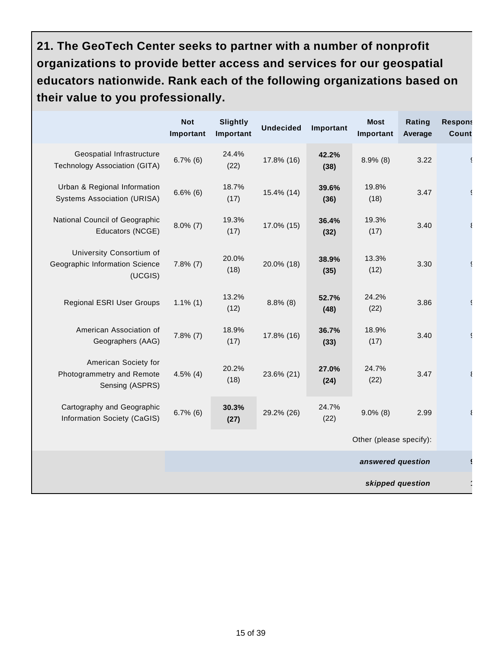**21. The GeoTech Center seeks to partner with a number of nonprofit organizations to provide better access and services for our geospatial educators nationwide. Rank each of the following organizations based on their value to you professionally.**

|                                                                       | <b>Not</b><br>Important | <b>Slightly</b><br>Important | <b>Undecided</b> | Important     | <b>Most</b><br>Important | Rating<br>Average | <b>Respons</b><br>Count |
|-----------------------------------------------------------------------|-------------------------|------------------------------|------------------|---------------|--------------------------|-------------------|-------------------------|
| Geospatial Infrastructure<br>Technology Association (GITA)            | $6.7\%$ (6)             | 24.4%<br>(22)                | 17.8% (16)       | 42.2%<br>(38) | $8.9\%$ (8)              | 3.22              |                         |
| Urban & Regional Information<br><b>Systems Association (URISA)</b>    | $6.6\%$ (6)             | 18.7%<br>(17)                | 15.4% (14)       | 39.6%<br>(36) | 19.8%<br>(18)            | 3.47              |                         |
| National Council of Geographic<br>Educators (NCGE)                    | $8.0\%$ (7)             | 19.3%<br>(17)                | 17.0% (15)       | 36.4%<br>(32) | 19.3%<br>(17)            | 3.40              |                         |
| University Consortium of<br>Geographic Information Science<br>(UCGIS) | $7.8\%$ (7)             | 20.0%<br>(18)                | 20.0% (18)       | 38.9%<br>(35) | 13.3%<br>(12)            | 3.30              |                         |
| Regional ESRI User Groups                                             | $1.1\%$ (1)             | 13.2%<br>(12)                | $8.8\%$ (8)      | 52.7%<br>(48) | 24.2%<br>(22)            | 3.86              |                         |
| American Association of<br>Geographers (AAG)                          | $7.8\%$ (7)             | 18.9%<br>(17)                | 17.8% (16)       | 36.7%<br>(33) | 18.9%<br>(17)            | 3.40              |                         |
| American Society for<br>Photogrammetry and Remote<br>Sensing (ASPRS)  | $4.5\%$ (4)             | 20.2%<br>(18)                | 23.6% (21)       | 27.0%<br>(24) | 24.7%<br>(22)            | 3.47              |                         |
| Cartography and Geographic<br>Information Society (CaGIS)             | $6.7\%$ (6)             | 30.3%<br>(27)                | 29.2% (26)       | 24.7%<br>(22) | $9.0\%$ (8)              | 2.99              |                         |
|                                                                       |                         |                              |                  |               | Other (please specify):  |                   |                         |
|                                                                       |                         |                              |                  |               | answered question        |                   |                         |
|                                                                       |                         |                              |                  |               | skipped question         |                   |                         |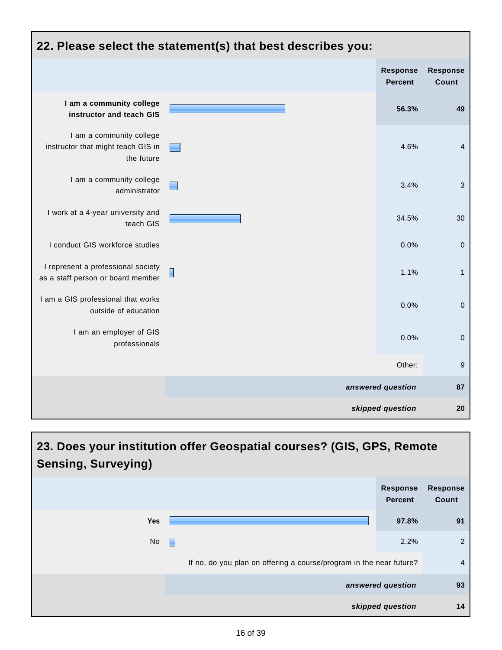

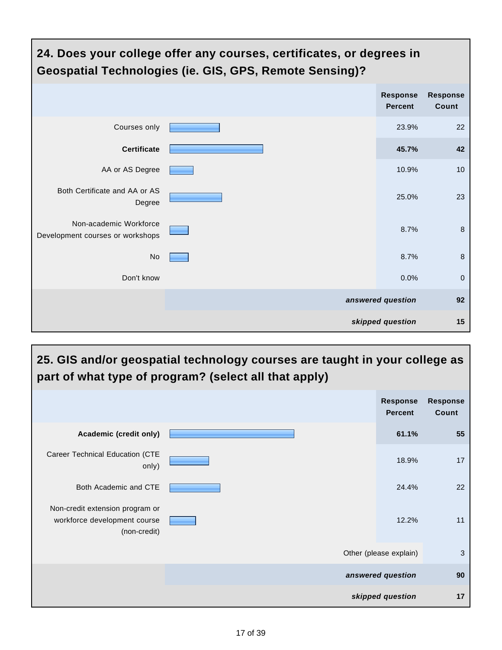

#### **25. GIS and/or geospatial technology courses are taught in your college as part of what type of program? (select all that apply) Response Percent Response Count Academic (credit only) 61.1% 55** Career Technical Education (CTE only) 18.9% 17 Both Academic and CTE 22.4% 22 Non-credit extension program or workforce development course (non-credit) 12.2% 11 Other (please explain) 3 **answered question 90 skipped question 17**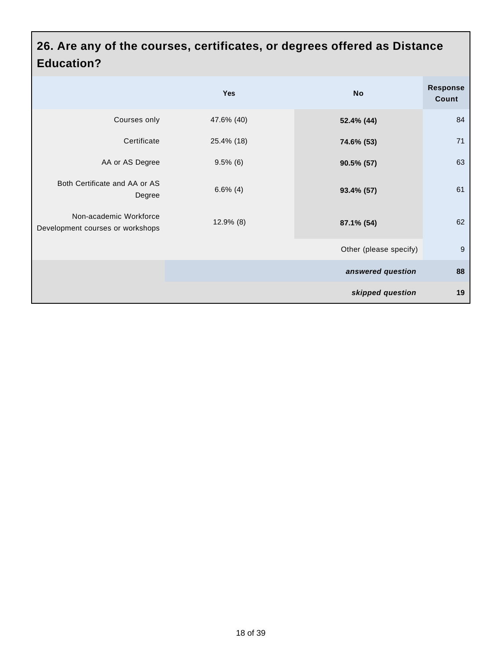#### **26. Are any of the courses, certificates, or degrees offered as Distance Education?**

|                                                            | <b>Yes</b>   | <b>No</b>              | <b>Response</b><br>Count |
|------------------------------------------------------------|--------------|------------------------|--------------------------|
| Courses only                                               | 47.6% (40)   | 52.4% (44)             | 84                       |
| Certificate                                                | 25.4% (18)   | 74.6% (53)             | 71                       |
| AA or AS Degree                                            | $9.5\%$ (6)  | 90.5% (57)             | 63                       |
| Both Certificate and AA or AS<br>Degree                    | $6.6\%$ (4)  | 93.4% (57)             | 61                       |
| Non-academic Workforce<br>Development courses or workshops | $12.9\%$ (8) | 87.1% (54)             | 62                       |
|                                                            |              | Other (please specify) | 9                        |
|                                                            |              | answered question      | 88                       |
|                                                            |              | skipped question       | 19                       |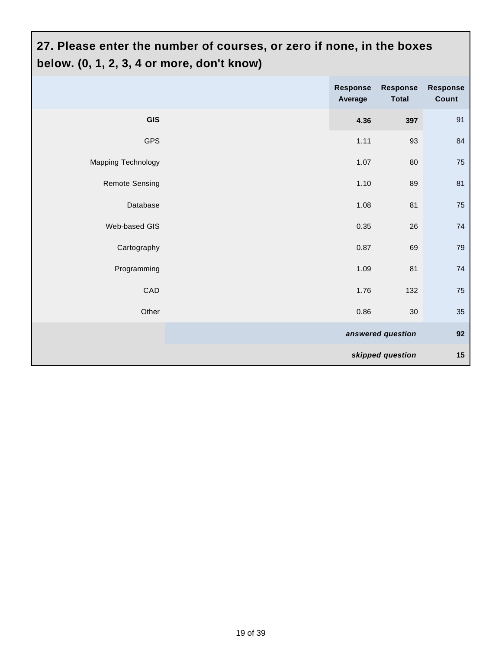# **27. Please enter the number of courses, or zero if none, in the boxes below. (0, 1, 2, 3, 4 or more, don't know)**

|                       | Response<br>Average | Response<br><b>Total</b> | Response<br>Count |
|-----------------------|---------------------|--------------------------|-------------------|
| <b>GIS</b>            | 4.36                | 397                      | 91                |
| <b>GPS</b>            | 1.11                | 93                       | 84                |
| Mapping Technology    | 1.07                | 80                       | ${\bf 75}$        |
| <b>Remote Sensing</b> | 1.10                | 89                       | 81                |
| Database              | 1.08                | 81                       | 75                |
| Web-based GIS         | 0.35                | 26                       | 74                |
| Cartography           | 0.87                | 69                       | 79                |
| Programming           | 1.09                | 81                       | 74                |
| CAD                   | 1.76                | 132                      | 75                |
| Other                 | 0.86                | 30                       | $35\,$            |
|                       |                     | answered question        | 92                |
|                       |                     | skipped question         | 15                |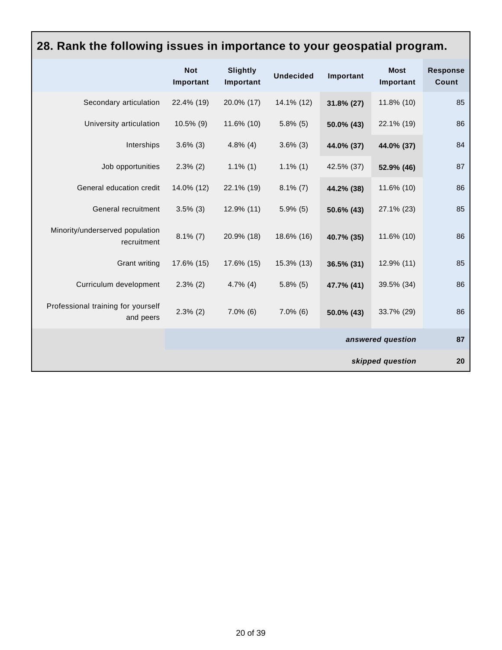#### **28. Rank the following issues in importance to your geospatial program. Not Important Slightly Important Undecided Important Most Important Response Count** Secondary articulation 22.4% (19) 20.0% (17) 14.1% (12) **31.8% (27)** 11.8% (10) 85 University articulation 10.5% (9) 11.6% (10) 5.8% (5) **50.0% (43)** 22.1% (19) 86 Interships 3.6% (3) 4.8% (4) 3.6% (3) **44.0% (37) 44.0% (37)** 84 Job opportunities 2.3% (2) 1.1% (1) 1.1% (1) 42.5% (37) **52.9% (46)** 87 General education credit 14.0% (12) 22.1% (19) 8.1% (7) **44.2% (38)** 11.6% (10) 86 General recruitment 3.5% (3) 12.9% (11) 5.9% (5) **50.6% (43)** 27.1% (23) 85 Minority/underserved population recruitment 8.1% (7) 20.9% (18) 18.6% (16) **40.7% (35)** 11.6% (10) 86 Grant writing 17.6% (15) 17.6% (15) 15.3% (13) **36.5% (31)** 12.9% (11) 85 Curriculum development 2.3% (2) 4.7% (4) 5.8% (5) **47.7% (41)** 39.5% (34) 86 Professional training for yourself and peers 2.3% (2) 7.0% (6) 7.0% (6) **50.0% (43)** 33.7% (29) 86 **answered question 87 skipped question 20**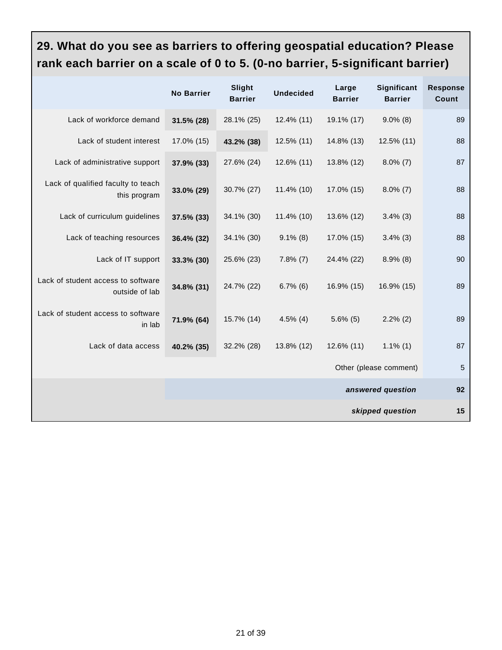# **29. What do you see as barriers to offering geospatial education? Please rank each barrier on a scale of 0 to 5. (0-no barrier, 5-significant barrier)**

|                                                      | <b>No Barrier</b> | Slight<br><b>Barrier</b> | <b>Undecided</b> | Large<br><b>Barrier</b> | Significant<br><b>Barrier</b> | <b>Response</b><br>Count |
|------------------------------------------------------|-------------------|--------------------------|------------------|-------------------------|-------------------------------|--------------------------|
| Lack of workforce demand                             | $31.5\%$ (28)     | 28.1% (25)               | 12.4% (11)       | 19.1% (17)              | $9.0\%$ (8)                   | 89                       |
| Lack of student interest                             | 17.0% (15)        | 43.2% (38)               | 12.5% (11)       | 14.8% (13)              | 12.5% (11)                    | 88                       |
| Lack of administrative support                       | 37.9% (33)        | 27.6% (24)               | 12.6% (11)       | 13.8% (12)              | $8.0\%$ (7)                   | 87                       |
| Lack of qualified faculty to teach<br>this program   | 33.0% (29)        | 30.7% (27)               | 11.4% (10)       | 17.0% (15)              | $8.0\%$ (7)                   | 88                       |
| Lack of curriculum guidelines                        | 37.5% (33)        | 34.1% (30)               | 11.4% (10)       | 13.6% (12)              | $3.4\%$ (3)                   | 88                       |
| Lack of teaching resources                           | 36.4% (32)        | 34.1% (30)               | $9.1\%$ (8)      | 17.0% (15)              | $3.4\%$ (3)                   | 88                       |
| Lack of IT support                                   | 33.3% (30)        | 25.6% (23)               | $7.8\%$ (7)      | 24.4% (22)              | $8.9\%$ (8)                   | 90                       |
| Lack of student access to software<br>outside of lab | 34.8% (31)        | 24.7% (22)               | $6.7\%$ (6)      | 16.9% (15)              | 16.9% (15)                    | 89                       |
| Lack of student access to software<br>in lab         | 71.9% (64)        | 15.7% (14)               | $4.5\%$ (4)      | $5.6\%$ (5)             | $2.2\%$ (2)                   | 89                       |
| Lack of data access                                  | 40.2% (35)        | 32.2% (28)               | 13.8% (12)       | $12.6\%$ (11)           | $1.1\%$ (1)                   | 87                       |
|                                                      |                   |                          |                  |                         | Other (please comment)        | 5                        |
|                                                      |                   |                          |                  |                         | answered question             | 92                       |
|                                                      |                   |                          |                  |                         | skipped question              | 15                       |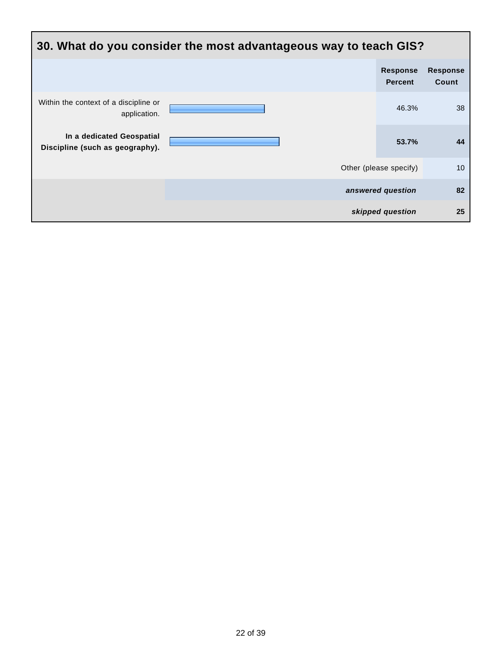| 30. What do you consider the most advantageous way to teach GIS? |  |                                   |                          |  |  |  |
|------------------------------------------------------------------|--|-----------------------------------|--------------------------|--|--|--|
|                                                                  |  | <b>Response</b><br><b>Percent</b> | <b>Response</b><br>Count |  |  |  |
| Within the context of a discipline or<br>application.            |  | 46.3%                             | 38                       |  |  |  |
| In a dedicated Geospatial<br>Discipline (such as geography).     |  | 53.7%                             | 44                       |  |  |  |
|                                                                  |  | Other (please specify)            | 10 <sup>°</sup>          |  |  |  |
|                                                                  |  | answered question                 | 82                       |  |  |  |
|                                                                  |  | skipped question                  | 25                       |  |  |  |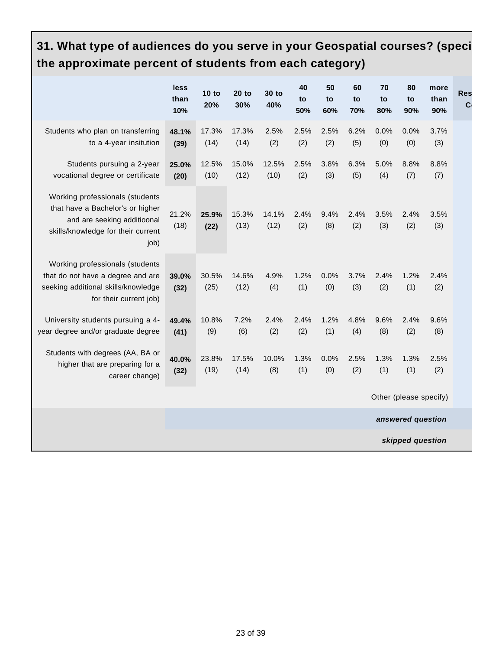# **31. What type of audiences do you serve in your Geospatial courses? (speci the approximate percent of students from each category)**

|                                                                                                                                                  | less<br>than<br>10% | $10$ to<br>20% | $20$ to<br>30% | 30 to<br>40%  | 40<br>to<br>50% | 50<br>to<br>60% | 60<br>to<br>70% | 70<br>to<br>80% | 80<br>to<br>90%        | more<br>than<br>90% | <b>Res</b><br>C <sub>0</sub> |
|--------------------------------------------------------------------------------------------------------------------------------------------------|---------------------|----------------|----------------|---------------|-----------------|-----------------|-----------------|-----------------|------------------------|---------------------|------------------------------|
| Students who plan on transferring<br>to a 4-year insitution                                                                                      | 48.1%<br>(39)       | 17.3%<br>(14)  | 17.3%<br>(14)  | 2.5%<br>(2)   | 2.5%<br>(2)     | 2.5%<br>(2)     | 6.2%<br>(5)     | 0.0%<br>(0)     | 0.0%<br>(0)            | 3.7%<br>(3)         |                              |
| Students pursuing a 2-year<br>vocational degree or certificate                                                                                   | 25.0%<br>(20)       | 12.5%<br>(10)  | 15.0%<br>(12)  | 12.5%<br>(10) | 2.5%<br>(2)     | 3.8%<br>(3)     | 6.3%<br>(5)     | 5.0%<br>(4)     | 8.8%<br>(7)            | 8.8%<br>(7)         |                              |
| Working professionals (students<br>that have a Bachelor's or higher<br>and are seeking additioonal<br>skills/knowledge for their current<br>job) | 21.2%<br>(18)       | 25.9%<br>(22)  | 15.3%<br>(13)  | 14.1%<br>(12) | 2.4%<br>(2)     | 9.4%<br>(8)     | 2.4%<br>(2)     | 3.5%<br>(3)     | 2.4%<br>(2)            | 3.5%<br>(3)         |                              |
| Working professionals (students<br>that do not have a degree and are<br>seeking additional skills/knowledge<br>for their current job)            | 39.0%<br>(32)       | 30.5%<br>(25)  | 14.6%<br>(12)  | 4.9%<br>(4)   | 1.2%<br>(1)     | 0.0%<br>(0)     | 3.7%<br>(3)     | 2.4%<br>(2)     | 1.2%<br>(1)            | 2.4%<br>(2)         |                              |
| University students pursuing a 4-<br>year degree and/or graduate degree                                                                          | 49.4%<br>(41)       | 10.8%<br>(9)   | 7.2%<br>(6)    | 2.4%<br>(2)   | 2.4%<br>(2)     | 1.2%<br>(1)     | 4.8%<br>(4)     | 9.6%<br>(8)     | 2.4%<br>(2)            | 9.6%<br>(8)         |                              |
| Students with degrees (AA, BA or<br>higher that are preparing for a<br>career change)                                                            | 40.0%<br>(32)       | 23.8%<br>(19)  | 17.5%<br>(14)  | 10.0%<br>(8)  | 1.3%<br>(1)     | 0.0%<br>(0)     | 2.5%<br>(2)     | 1.3%<br>(1)     | 1.3%<br>(1)            | 2.5%<br>(2)         |                              |
|                                                                                                                                                  |                     |                |                |               |                 |                 |                 |                 | Other (please specify) |                     |                              |
|                                                                                                                                                  |                     |                |                |               |                 |                 |                 |                 | answered question      |                     |                              |
|                                                                                                                                                  |                     |                |                |               |                 |                 |                 |                 | skipped question       |                     |                              |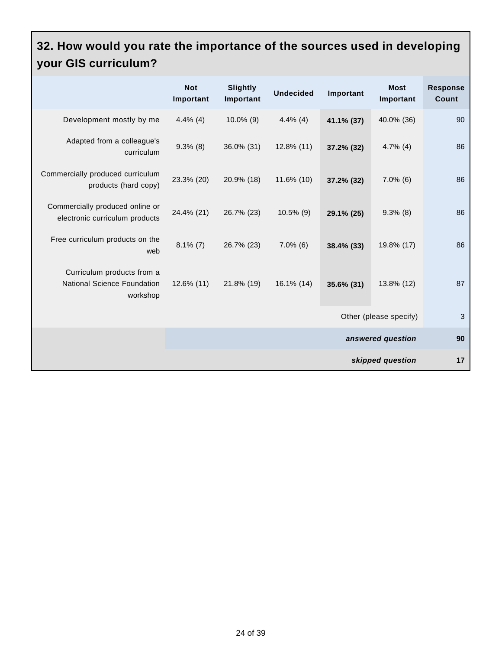## **32. How would you rate the importance of the sources used in developing your GIS curriculum?**

|                                                                       | <b>Not</b><br>Important | Slightly<br>Important | <b>Undecided</b> | Important  | <b>Most</b><br>Important | <b>Response</b><br>Count |
|-----------------------------------------------------------------------|-------------------------|-----------------------|------------------|------------|--------------------------|--------------------------|
| Development mostly by me                                              | $4.4\%$ (4)             | $10.0\%$ (9)          | $4.4\%$ (4)      | 41.1% (37) | 40.0% (36)               | 90                       |
| Adapted from a colleague's<br>curriculum                              | $9.3\%$ (8)             | 36.0% (31)            | 12.8% (11)       | 37.2% (32) | $4.7\%$ (4)              | 86                       |
| Commercially produced curriculum<br>products (hard copy)              | 23.3% (20)              | 20.9% (18)            | 11.6% (10)       | 37.2% (32) | $7.0\%$ (6)              | 86                       |
| Commercially produced online or<br>electronic curriculum products     | 24.4% (21)              | 26.7% (23)            | $10.5\%$ (9)     | 29.1% (25) | $9.3\%$ (8)              | 86                       |
| Free curriculum products on the<br>web                                | $8.1\%$ (7)             | 26.7% (23)            | $7.0\%$ (6)      | 38.4% (33) | 19.8% (17)               | 86                       |
| Curriculum products from a<br>National Science Foundation<br>workshop | $12.6\%$ (11)           | 21.8% (19)            | 16.1% (14)       | 35.6% (31) | 13.8% (12)               | 87                       |
|                                                                       |                         |                       |                  |            | Other (please specify)   | 3                        |
|                                                                       |                         |                       |                  |            | answered question        | 90                       |
|                                                                       |                         |                       |                  |            | skipped question         | 17                       |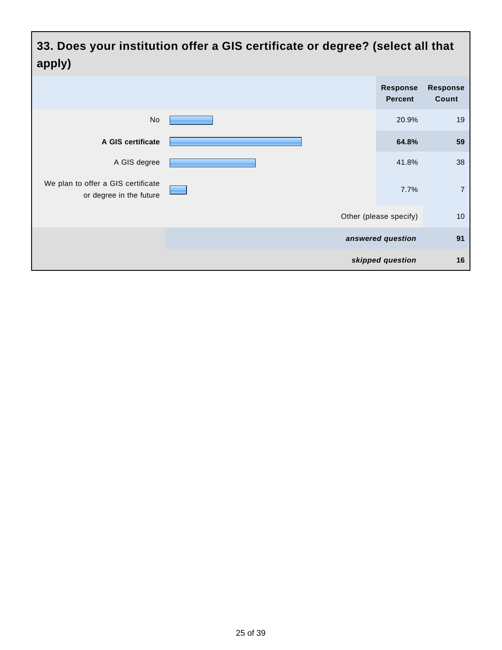**33. Does your institution offer a GIS certificate or degree? (select all that apply)**

| .                                                             |                                   |                          |
|---------------------------------------------------------------|-----------------------------------|--------------------------|
|                                                               | <b>Response</b><br><b>Percent</b> | <b>Response</b><br>Count |
| No                                                            | 20.9%                             | 19                       |
| A GIS certificate                                             | 64.8%                             | 59                       |
| A GIS degree                                                  | 41.8%                             | 38                       |
| We plan to offer a GIS certificate<br>or degree in the future | 7.7%                              | $\overline{7}$           |
|                                                               | Other (please specify)            | 10                       |
|                                                               | answered question                 | 91                       |
|                                                               | skipped question                  | 16                       |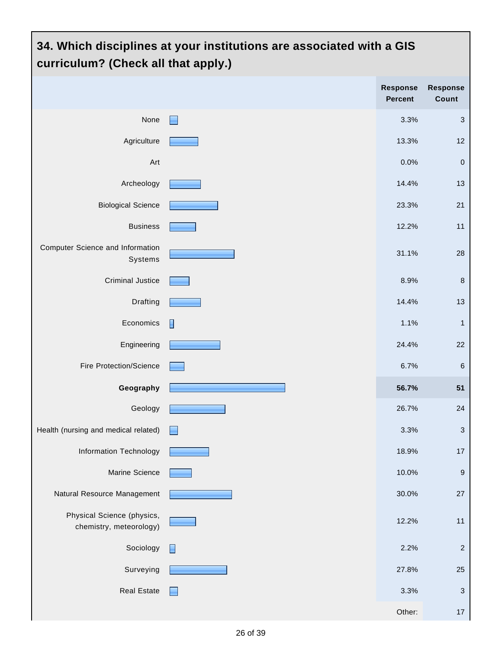# **34. Which disciplines at your institutions are associated with a GIS curriculum? (Check all that apply.) Response Percent Response Count** None 3.3% 3 Agriculture **13.3% 12** Art 0.0% 0 Archeology **14.4%** 13 Biological Science **23.3%** 21 Business 12.2% 11 Computer Science and Information Systems 31.1% 28 Criminal Justice 8.9% 8 Drafting  $\begin{array}{|c|c|c|c|c|}\hline \text{14.4\%} & \text{13.4\%} \hline \end{array}$ Economics  $\begin{bmatrix} 1 & 1 \end{bmatrix}$ Engineering 24.4% 22 Fire Protection/Science 6.7% 6 **Geography 56.7% 51** Geology 26.7% 24 Health (nursing and medical related) **3.3%** 3.3% Information Technology **18.9%** 17 Marine Science **10.0% 9 Second 10.0% 9 Second 10.0% 9 Second 10.0% 9 Second 10.0% 9 Second 10.0% 9 Second 10.0%** Natural Resource Management **1986** 27 Natural Resource Management 1999 27 Physical Science (physics, chemistry, meteorology) 12.2% 11 Sociology  $\Box$ Surveying **27.8% 25 and 27.8%** 25 Real Estate 3.3% 3 Other: 17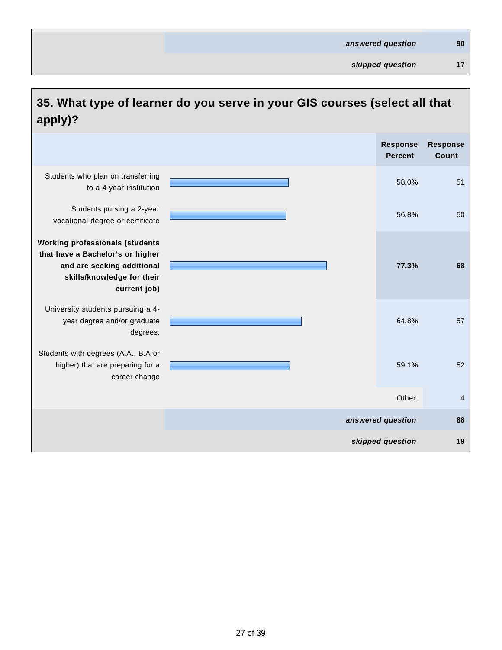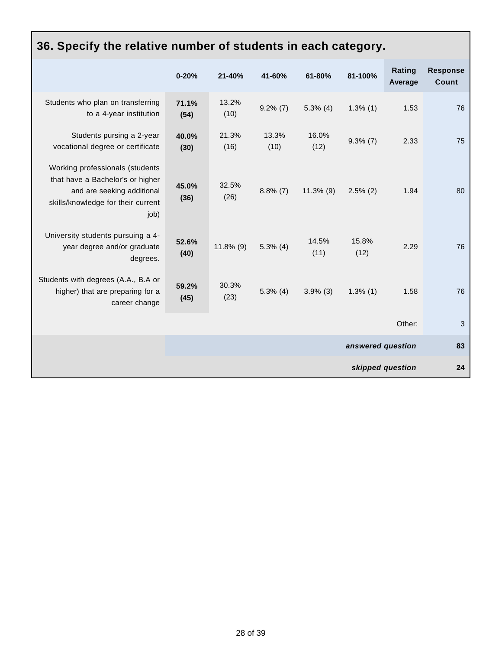| 36. Specify the relative number of students in each category.                                                                                   |               |               |               |               |                   |                   |                                 |
|-------------------------------------------------------------------------------------------------------------------------------------------------|---------------|---------------|---------------|---------------|-------------------|-------------------|---------------------------------|
|                                                                                                                                                 | $0 - 20%$     | 21-40%        | 41-60%        | 61-80%        | 81-100%           | Rating<br>Average | <b>Response</b><br><b>Count</b> |
| Students who plan on transferring<br>to a 4-year institution                                                                                    | 71.1%<br>(54) | 13.2%<br>(10) | $9.2\%$ (7)   | $5.3\%$ (4)   | $1.3\%$ (1)       | 1.53              | 76                              |
| Students pursing a 2-year<br>vocational degree or certificate                                                                                   | 40.0%<br>(30) | 21.3%<br>(16) | 13.3%<br>(10) | 16.0%<br>(12) | $9.3\%$ (7)       | 2.33              | 75                              |
| Working professionals (students<br>that have a Bachelor's or higher<br>and are seeking additional<br>skills/knowledge for their current<br>job) | 45.0%<br>(36) | 32.5%<br>(26) | $8.8\%$ (7)   | $11.3\%$ (9)  | $2.5\%$ (2)       | 1.94              | 80                              |
| University students pursuing a 4-<br>year degree and/or graduate<br>degrees.                                                                    | 52.6%<br>(40) | $11.8\%$ (9)  | $5.3\%$ (4)   | 14.5%<br>(11) | 15.8%<br>(12)     | 2.29              | 76                              |
| Students with degrees (A.A., B.A or<br>higher) that are preparing for a<br>career change                                                        | 59.2%<br>(45) | 30.3%<br>(23) | $5.3\%$ (4)   | $3.9\%$ (3)   | $1.3\%$ (1)       | 1.58              | 76                              |
|                                                                                                                                                 |               |               |               |               |                   | Other:            | 3                               |
|                                                                                                                                                 |               |               |               |               | answered question |                   | 83                              |
|                                                                                                                                                 |               |               |               |               |                   | skipped question  | 24                              |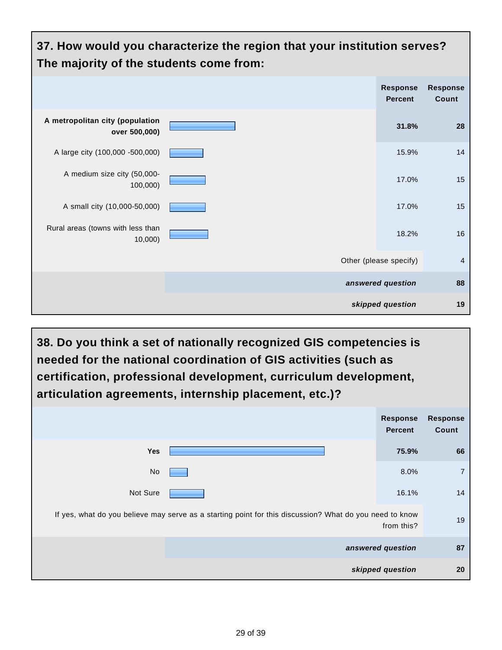

**38. Do you think a set of nationally recognized GIS competencies is needed for the national coordination of GIS activities (such as certification, professional development, curriculum development, articulation agreements, internship placement, etc.)?**

|                                                                                                         | <b>Response</b><br><b>Percent</b> | <b>Response</b><br>Count |
|---------------------------------------------------------------------------------------------------------|-----------------------------------|--------------------------|
| Yes                                                                                                     | 75.9%                             | 66                       |
| No                                                                                                      | 8.0%                              | $\overline{7}$           |
| Not Sure                                                                                                | 16.1%                             | 14                       |
| If yes, what do you believe may serve as a starting point for this discussion? What do you need to know | from this?                        | 19                       |
|                                                                                                         | answered question                 | 87                       |
|                                                                                                         | skipped question                  | 20                       |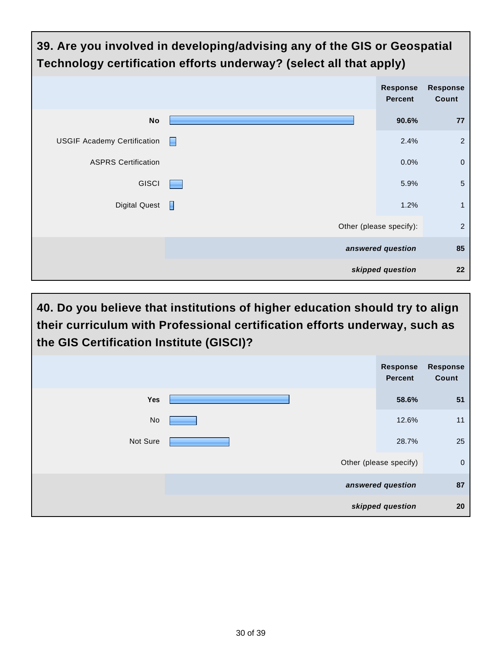| 39. Are you involved in developing/advising any of the GIS or Geospatial<br>Technology certification efforts underway? (select all that apply) |   |                                   |                          |
|------------------------------------------------------------------------------------------------------------------------------------------------|---|-----------------------------------|--------------------------|
|                                                                                                                                                |   | <b>Response</b><br><b>Percent</b> | <b>Response</b><br>Count |
| <b>No</b>                                                                                                                                      |   | 90.6%                             | 77                       |
| <b>USGIF Academy Certification</b>                                                                                                             | н | 2.4%                              | $\overline{c}$           |
| <b>ASPRS Certification</b>                                                                                                                     |   | 0.0%                              | $\mathbf 0$              |
| <b>GISCI</b>                                                                                                                                   |   | 5.9%                              | 5                        |
| <b>Digital Quest</b>                                                                                                                           | П | 1.2%                              | $\mathbf{1}$             |
|                                                                                                                                                |   | Other (please specify):           | $\overline{2}$           |
|                                                                                                                                                |   | answered question                 | 85                       |
|                                                                                                                                                |   | skipped question                  | 22                       |

**40. Do you believe that institutions of higher education should try to align their curriculum with Professional certification efforts underway, such as the GIS Certification Institute (GISCI)?**

|          | <b>Response</b><br><b>Percent</b> | <b>Response</b><br>Count |
|----------|-----------------------------------|--------------------------|
| Yes      | 58.6%                             | 51                       |
| No       | 12.6%                             | 11                       |
| Not Sure | 28.7%                             | 25                       |
|          | Other (please specify)            | $\overline{0}$           |
|          | answered question                 | 87                       |
|          | skipped question                  | 20                       |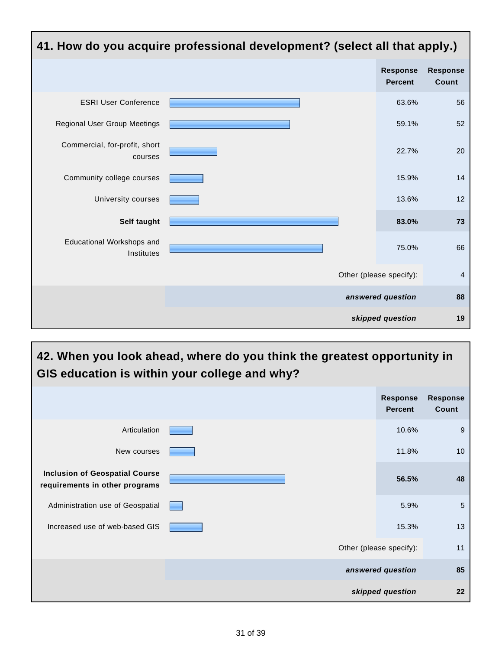

#### **42. When you look ahead, where do you think the greatest opportunity in GIS education is within your college and why?**

|                                                                         | <b>Response</b><br><b>Percent</b> | <b>Response</b><br>Count |
|-------------------------------------------------------------------------|-----------------------------------|--------------------------|
| Articulation                                                            | 10.6%                             | 9                        |
| New courses                                                             | 11.8%                             | 10                       |
| <b>Inclusion of Geospatial Course</b><br>requirements in other programs | 56.5%                             | 48                       |
| Administration use of Geospatial                                        | 5.9%                              | 5                        |
| Increased use of web-based GIS                                          | 15.3%                             | 13                       |
|                                                                         | Other (please specify):           | 11                       |
|                                                                         | answered question                 | 85                       |
|                                                                         | skipped question                  | 22                       |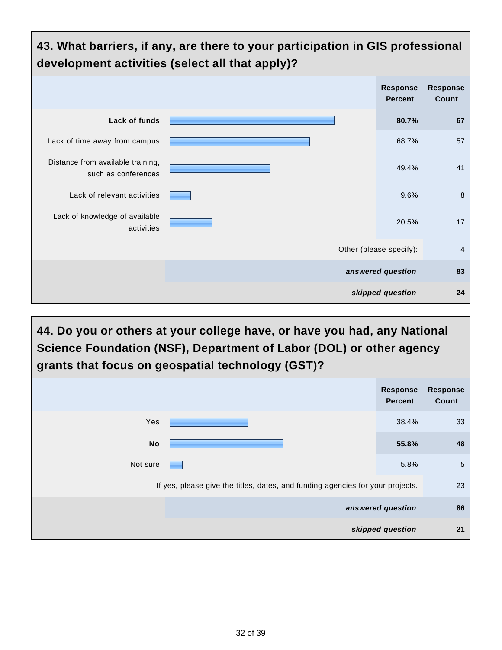

**44. Do you or others at your college have, or have you had, any National Science Foundation (NSF), Department of Labor (DOL) or other agency grants that focus on geospatial technology (GST)?**

|                                                                                | <b>Response</b><br><b>Percent</b> | <b>Response</b><br>Count |
|--------------------------------------------------------------------------------|-----------------------------------|--------------------------|
| Yes                                                                            | 38.4%                             | 33                       |
| <b>No</b>                                                                      | 55.8%                             | 48                       |
| Not sure                                                                       | 5.8%                              | $5\phantom{.0}$          |
| If yes, please give the titles, dates, and funding agencies for your projects. |                                   | 23                       |
|                                                                                | answered question                 | 86                       |
|                                                                                | skipped question                  | 21                       |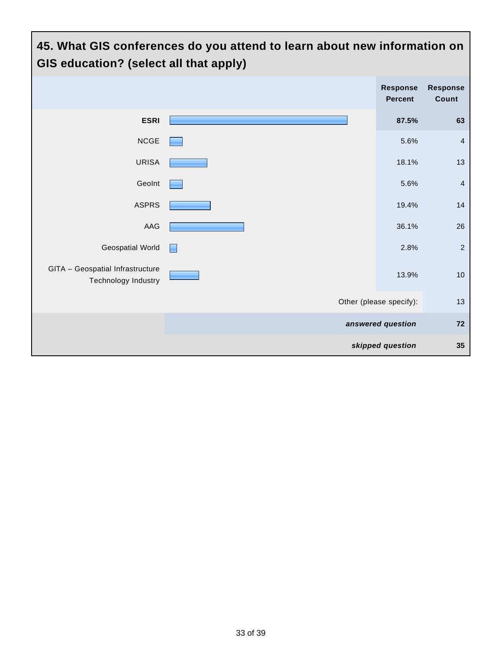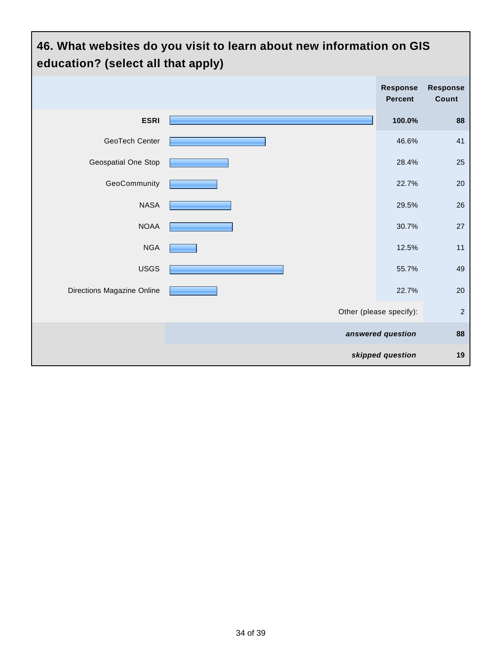## **46. What websites do you visit to learn about new information on GIS education? (select all that apply)**

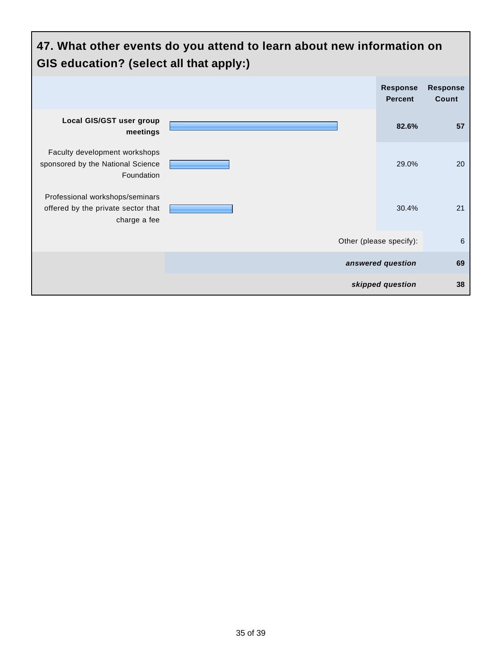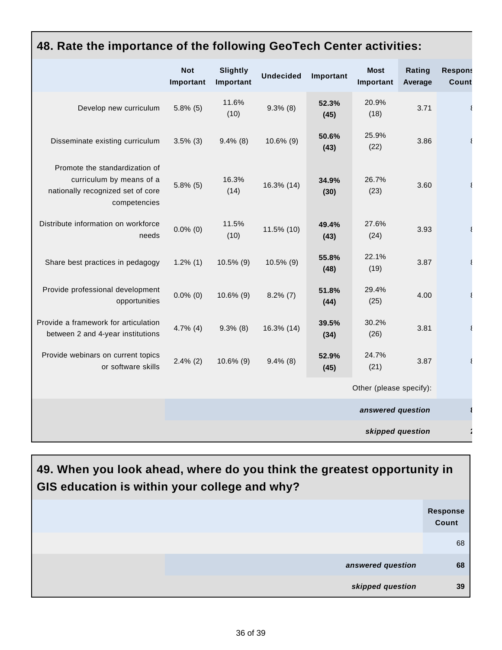#### **48. Rate the importance of the following GeoTech Center activities:**

|                                                                                                                 | <b>Not</b><br>Important | <b>Slightly</b><br>Important | <b>Undecided</b> | Important     | <b>Most</b><br>Important | Rating<br>Average | <b>Respons</b><br>Count |
|-----------------------------------------------------------------------------------------------------------------|-------------------------|------------------------------|------------------|---------------|--------------------------|-------------------|-------------------------|
| Develop new curriculum                                                                                          | $5.8\%$ (5)             | 11.6%<br>(10)                | $9.3\%$ (8)      | 52.3%<br>(45) | 20.9%<br>(18)            | 3.71              |                         |
| Disseminate existing curriculum                                                                                 | $3.5\%$ (3)             | $9.4\%$ (8)                  | $10.6\%$ (9)     | 50.6%<br>(43) | 25.9%<br>(22)            | 3.86              |                         |
| Promote the standardization of<br>curriculum by means of a<br>nationally recognized set of core<br>competencies | $5.8\%$ (5)             | 16.3%<br>(14)                | 16.3% (14)       | 34.9%<br>(30) | 26.7%<br>(23)            | 3.60              |                         |
| Distribute information on workforce<br>needs                                                                    | $0.0\%$ (0)             | 11.5%<br>(10)                | 11.5% (10)       | 49.4%<br>(43) | 27.6%<br>(24)            | 3.93              |                         |
| Share best practices in pedagogy                                                                                | $1.2\%$ (1)             | $10.5\%$ (9)                 | $10.5\%$ (9)     | 55.8%<br>(48) | 22.1%<br>(19)            | 3.87              |                         |
| Provide professional development<br>opportunities                                                               | $0.0\%$ (0)             | $10.6\%$ (9)                 | $8.2\%$ (7)      | 51.8%<br>(44) | 29.4%<br>(25)            | 4.00              |                         |
| Provide a framework for articulation<br>between 2 and 4-year institutions                                       | $4.7\%$ (4)             | $9.3\%$ (8)                  | 16.3% (14)       | 39.5%<br>(34) | 30.2%<br>(26)            | 3.81              |                         |
| Provide webinars on current topics<br>or software skills                                                        | $2.4\%$ (2)             | $10.6\%$ (9)                 | $9.4\%$ (8)      | 52.9%<br>(45) | 24.7%<br>(21)            | 3.87              |                         |
|                                                                                                                 |                         |                              |                  |               | Other (please specify):  |                   |                         |
|                                                                                                                 |                         |                              |                  |               | answered question        |                   |                         |
|                                                                                                                 |                         |                              |                  |               | skipped question         |                   |                         |

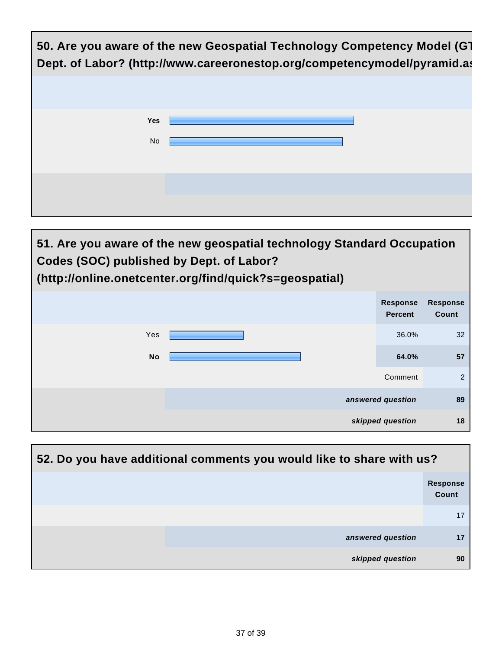

| 51. Are you aware of the new geospatial technology Standard Occupation<br>Codes (SOC) published by Dept. of Labor?<br>(http://online.onetcenter.org/find/quick?s=geospatial) |  |                                   |                          |
|------------------------------------------------------------------------------------------------------------------------------------------------------------------------------|--|-----------------------------------|--------------------------|
|                                                                                                                                                                              |  | <b>Response</b><br><b>Percent</b> | <b>Response</b><br>Count |
| Yes                                                                                                                                                                          |  | 36.0%                             | 32                       |
| <b>No</b>                                                                                                                                                                    |  | 64.0%                             | 57                       |
|                                                                                                                                                                              |  | Comment                           | 2                        |
|                                                                                                                                                                              |  | answered question                 | 89                       |
|                                                                                                                                                                              |  | skipped question                  | 18                       |

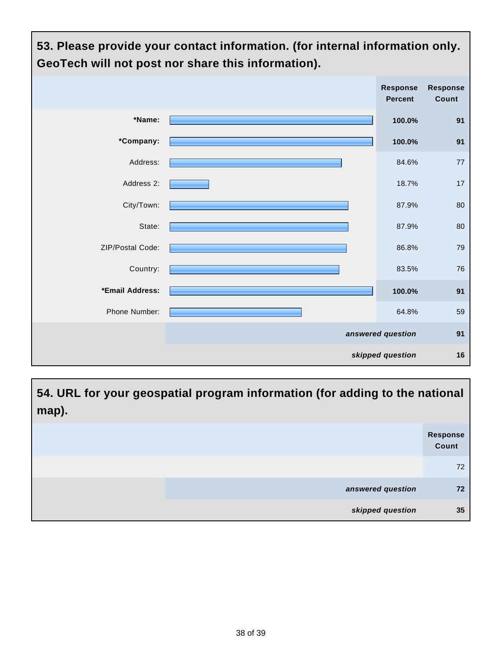

**54. URL for your geospatial program information (for adding to the national map).**

|                   | Response<br>Count |
|-------------------|-------------------|
|                   | 72                |
| answered question | 72                |
| skipped question  | 35                |